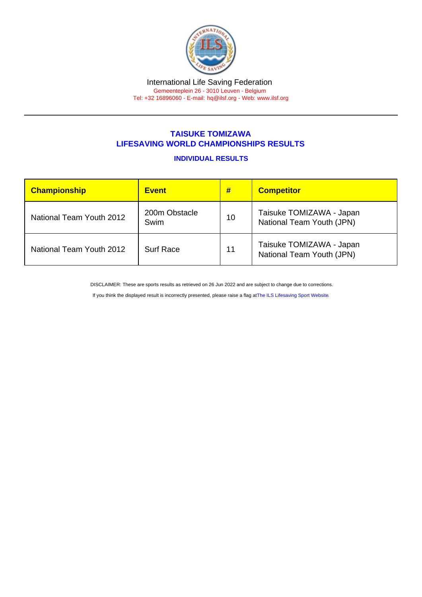## TAISUKE TOMIZAWA LIFESAVING WORLD CHAMPIONSHIPS RESULTS

## INDIVIDUAL RESULTS

| <b>Championship</b>      | <b>Event</b>          | #  | <b>Competitor</b>                                     |
|--------------------------|-----------------------|----|-------------------------------------------------------|
| National Team Youth 2012 | 200m Obstacle<br>Swim | 10 | Taisuke TOMIZAWA - Japan<br>National Team Youth (JPN) |
| National Team Youth 2012 | <b>Surf Race</b>      | 11 | Taisuke TOMIZAWA - Japan<br>National Team Youth (JPN) |

DISCLAIMER: These are sports results as retrieved on 26 Jun 2022 and are subject to change due to corrections.

If you think the displayed result is incorrectly presented, please raise a flag at [The ILS Lifesaving Sport Website.](https://sport.ilsf.org)